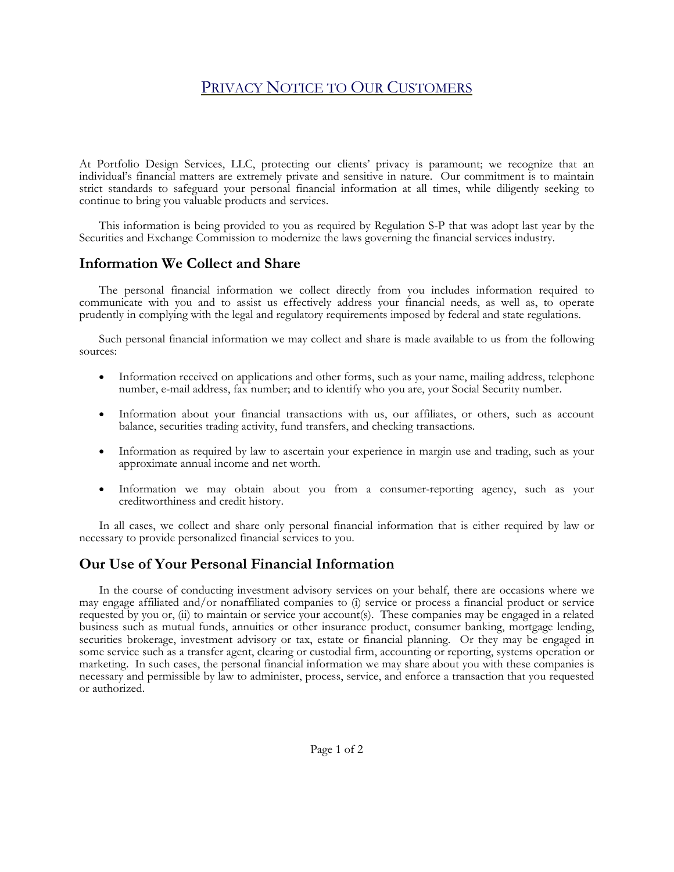# PRIVACY NOTICE TO OUR CUSTOMERS

At Portfolio Design Services, LLC, protecting our clients' privacy is paramount; we recognize that an individual's financial matters are extremely private and sensitive in nature. Our commitment is to maintain strict standards to safeguard your personal financial information at all times, while diligently seeking to continue to bring you valuable products and services.

 This information is being provided to you as required by Regulation S-P that was adopt last year by the Securities and Exchange Commission to modernize the laws governing the financial services industry.

### **Information We Collect and Share**

 The personal financial information we collect directly from you includes information required to communicate with you and to assist us effectively address your financial needs, as well as, to operate prudently in complying with the legal and regulatory requirements imposed by federal and state regulations.

 Such personal financial information we may collect and share is made available to us from the following sources:

- Information received on applications and other forms, such as your name, mailing address, telephone number, e-mail address, fax number; and to identify who you are, your Social Security number.
- Information about your financial transactions with us, our affiliates, or others, such as account balance, securities trading activity, fund transfers, and checking transactions.
- Information as required by law to ascertain your experience in margin use and trading, such as your approximate annual income and net worth.
- Information we may obtain about you from a consumer-reporting agency, such as your creditworthiness and credit history.

 In all cases, we collect and share only personal financial information that is either required by law or necessary to provide personalized financial services to you.

#### **Our Use of Your Personal Financial Information**

 In the course of conducting investment advisory services on your behalf, there are occasions where we may engage affiliated and/or nonaffiliated companies to (i) service or process a financial product or service requested by you or, (ii) to maintain or service your account(s). These companies may be engaged in a related business such as mutual funds, annuities or other insurance product, consumer banking, mortgage lending, securities brokerage, investment advisory or tax, estate or financial planning. Or they may be engaged in some service such as a transfer agent, clearing or custodial firm, accounting or reporting, systems operation or marketing. In such cases, the personal financial information we may share about you with these companies is necessary and permissible by law to administer, process, service, and enforce a transaction that you requested or authorized.